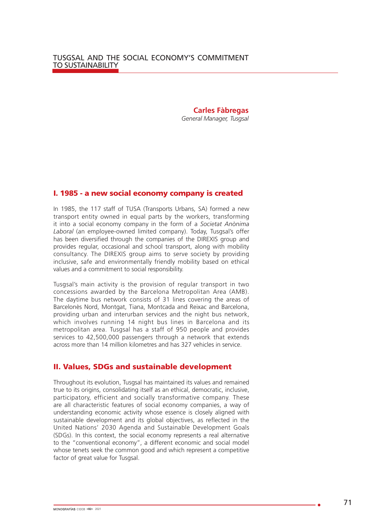**Carles Fàbregas** *General Manager, Tusgsal*

# I. 1985 - a new social economy company is created

In 1985, the 117 staff of TUSA (Transports Urbans, SA) formed a new transport entity owned in equal parts by the workers, transforming it into a social economy company in the form of a *Societat Anònima Laboral* (an employee-owned limited company). Today, Tusgsal's offer has been diversified through the companies of the DIREXIS group and provides regular, occasional and school transport, along with mobility consultancy. The DIREXIS group aims to serve society by providing inclusive, safe and environmentally friendly mobility based on ethical values and a commitment to social responsibility.

Tusgsal's main activity is the provision of regular transport in two concessions awarded by the Barcelona Metropolitan Area (AMB). The daytime bus network consists of 31 lines covering the areas of Barcelonès Nord, Montgat, Tiana, Montcada and Reixac and Barcelona, providing urban and interurban services and the night bus network, which involves running 14 night bus lines in Barcelona and its metropolitan area. Tusgsal has a staff of 950 people and provides services to 42,500,000 passengers through a network that extends across more than 14 million kilometres and has 327 vehicles in service.

### II. Values, SDGs and sustainable development

Throughout its evolution, Tusgsal has maintained its values and remained true to its origins, consolidating itself as an ethical, democratic, inclusive, participatory, efficient and socially transformative company. These are all characteristic features of social economy companies, a way of understanding economic activity whose essence is closely aligned with sustainable development and its global objectives, as reflected in the United Nations' 2030 Agenda and Sustainable Development Goals (SDGs). In this context, the social economy represents a real alternative to the "conventional economy", a different economic and social model whose tenets seek the common good and which represent a competitive factor of great value for Tusgsal.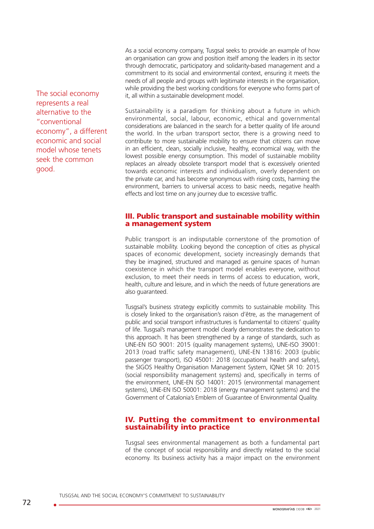The social economy represents a real alternative to the "conventional economy", a different economic and social model whose tenets seek the common good.

As a social economy company, Tusgsal seeks to provide an example of how an organisation can grow and position itself among the leaders in its sector through democratic, participatory and solidarity-based management and a commitment to its social and environmental context, ensuring it meets the needs of all people and groups with legitimate interests in the organisation, while providing the best working conditions for everyone who forms part of it, all within a sustainable development model.

Sustainability is a paradigm for thinking about a future in which environmental, social, labour, economic, ethical and governmental considerations are balanced in the search for a better quality of life around the world. In the urban transport sector, there is a growing need to contribute to more sustainable mobility to ensure that citizens can move in an efficient, clean, socially inclusive, healthy, economical way, with the lowest possible energy consumption. This model of sustainable mobility replaces an already obsolete transport model that is excessively oriented towards economic interests and individualism, overly dependent on the private car, and has become synonymous with rising costs, harming the environment, barriers to universal access to basic needs, negative health effects and lost time on any journey due to excessive traffic.

### III. Public transport and sustainable mobility within a management system

Public transport is an indisputable cornerstone of the promotion of sustainable mobility. Looking beyond the conception of cities as physical spaces of economic development, society increasingly demands that they be imagined, structured and managed as genuine spaces of human coexistence in which the transport model enables everyone, without exclusion, to meet their needs in terms of access to education, work, health, culture and leisure, and in which the needs of future generations are also guaranteed.

Tusgsal's business strategy explicitly commits to sustainable mobility. This is closely linked to the organisation's raison d'être, as the management of public and social transport infrastructures is fundamental to citizens' quality of life. Tusgsal's management model clearly demonstrates the dedication to this approach. It has been strengthened by a range of standards, such as UNE-EN ISO 9001: 2015 (quality management systems), UNE-ISO 39001: 2013 (road traffic safety management), UNE-EN 13816: 2003 (public passenger transport), ISO 45001: 2018 (occupational health and safety), the SIGOS Healthy Organisation Management System, IQNet SR 10: 2015 (social responsibility management systems) and, specifically in terms of the environment, UNE-EN ISO 14001: 2015 (environmental management systems), UNE-EN ISO 50001: 2018 (energy management systems) and the Government of Catalonia's Emblem of Guarantee of Environmental Quality.

## IV. Putting the commitment to environmental sustainability into practice

Tusgsal sees environmental management as both a fundamental part of the concept of social responsibility and directly related to the social economy. Its business activity has a major impact on the environment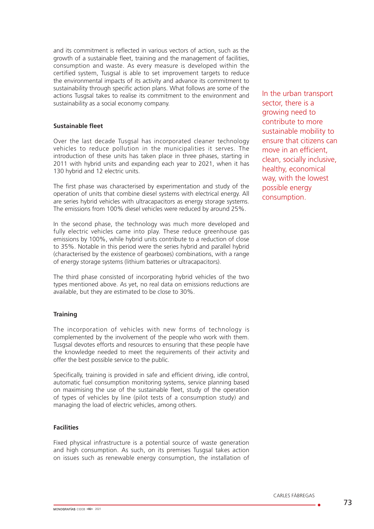and its commitment is reflected in various vectors of action, such as the growth of a sustainable fleet, training and the management of facilities, consumption and waste. As every measure is developed within the certified system, Tusgsal is able to set improvement targets to reduce the environmental impacts of its activity and advance its commitment to sustainability through specific action plans. What follows are some of the actions Tusgsal takes to realise its commitment to the environment and sustainability as a social economy company.

#### **Sustainable fleet**

Over the last decade Tusgsal has incorporated cleaner technology vehicles to reduce pollution in the municipalities it serves. The introduction of these units has taken place in three phases, starting in 2011 with hybrid units and expanding each year to 2021, when it has 130 hybrid and 12 electric units.

The first phase was characterised by experimentation and study of the operation of units that combine diesel systems with electrical energy. All are series hybrid vehicles with ultracapacitors as energy storage systems. The emissions from 100% diesel vehicles were reduced by around 25%.

In the second phase, the technology was much more developed and fully electric vehicles came into play. These reduce greenhouse gas emissions by 100%, while hybrid units contribute to a reduction of close to 35%. Notable in this period were the series hybrid and parallel hybrid (characterised by the existence of gearboxes) combinations, with a range of energy storage systems (lithium batteries or ultracapacitors).

The third phase consisted of incorporating hybrid vehicles of the two types mentioned above. As yet, no real data on emissions reductions are available, but they are estimated to be close to 30%.

#### **Training**

The incorporation of vehicles with new forms of technology is complemented by the involvement of the people who work with them. Tusgsal devotes efforts and resources to ensuring that these people have the knowledge needed to meet the requirements of their activity and offer the best possible service to the public.

Specifically, training is provided in safe and efficient driving, idle control, automatic fuel consumption monitoring systems, service planning based on maximising the use of the sustainable fleet, study of the operation of types of vehicles by line (pilot tests of a consumption study) and managing the load of electric vehicles, among others.

#### **Facilities**

Fixed physical infrastructure is a potential source of waste generation and high consumption. As such, on its premises Tusgsal takes action on issues such as renewable energy consumption, the installation of In the urban transport sector, there is a growing need to contribute to more sustainable mobility to ensure that citizens can move in an efficient clean, socially inclusive, healthy, economical way, with the lowest possible energy consumption.